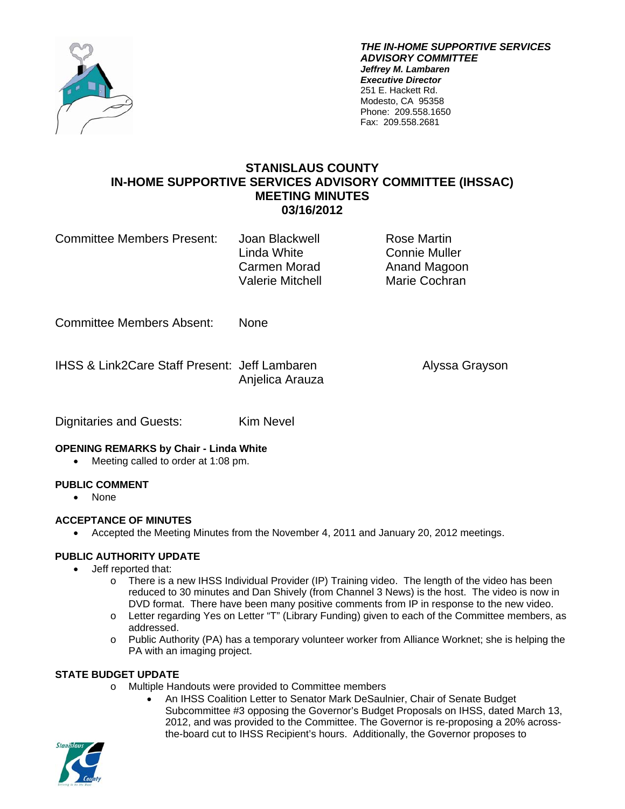

*THE IN-HOME SUPPORTIVE SERVICES ADVISORY COMMITTEE Jeffrey M. Lambaren Executive Director*  251 E. Hackett Rd. Modesto, CA 95358 Phone: 209.558.1650 Fax: 209.558.2681

# **STANISLAUS COUNTY IN-HOME SUPPORTIVE SERVICES ADVISORY COMMITTEE (IHSSAC) MEETING MINUTES 03/16/2012**

Committee Members Present: Joan Blackwell **Rose Martin** 

 Linda White Connie Muller Carmen Morad **Anand Magoon** Valerie Mitchell Marie Cochran

Committee Members Absent: None

IHSS & Link2Care Staff Present: Jeff Lambaren Alyssa Grayson Anjelica Arauza

Dignitaries and Guests: Kim Nevel

### **OPENING REMARKS by Chair - Linda White**

• Meeting called to order at 1:08 pm.

## **PUBLIC COMMENT**

None

## **ACCEPTANCE OF MINUTES**

Accepted the Meeting Minutes from the November 4, 2011 and January 20, 2012 meetings.

## **PUBLIC AUTHORITY UPDATE**

- Jeff reported that:
	- $\circ$  There is a new IHSS Individual Provider (IP) Training video. The length of the video has been reduced to 30 minutes and Dan Shively (from Channel 3 News) is the host. The video is now in DVD format. There have been many positive comments from IP in response to the new video.
	- o Letter regarding Yes on Letter "T" (Library Funding) given to each of the Committee members, as addressed.
	- o Public Authority (PA) has a temporary volunteer worker from Alliance Worknet; she is helping the PA with an imaging project.

## **STATE BUDGET UPDATE**

- o Multiple Handouts were provided to Committee members
	- An IHSS Coalition Letter to Senator Mark DeSaulnier, Chair of Senate Budget Subcommittee #3 opposing the Governor's Budget Proposals on IHSS, dated March 13, 2012, and was provided to the Committee. The Governor is re-proposing a 20% acrossthe-board cut to IHSS Recipient's hours. Additionally, the Governor proposes to

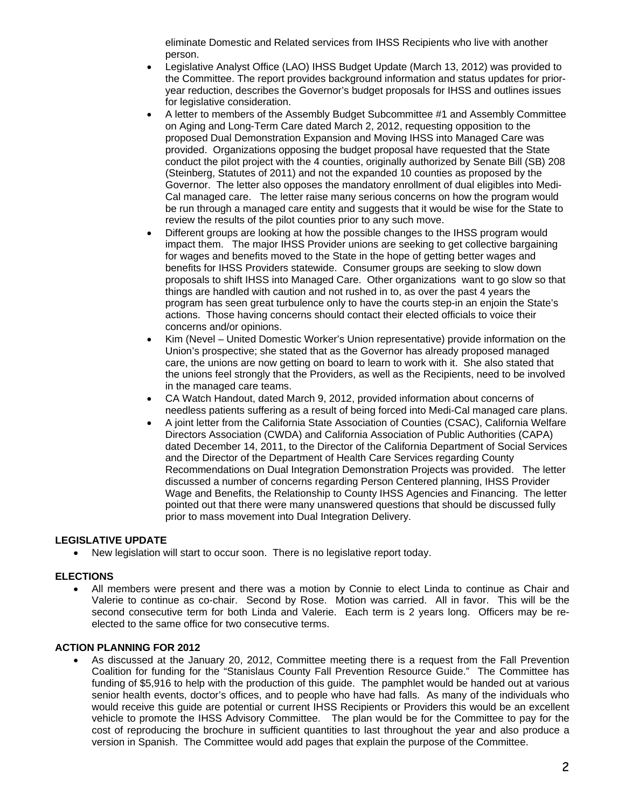eliminate Domestic and Related services from IHSS Recipients who live with another person.

- Legislative Analyst Office (LAO) IHSS Budget Update (March 13, 2012) was provided to the Committee. The report provides background information and status updates for prioryear reduction, describes the Governor's budget proposals for IHSS and outlines issues for legislative consideration.
- A letter to members of the Assembly Budget Subcommittee #1 and Assembly Committee on Aging and Long-Term Care dated March 2, 2012, requesting opposition to the proposed Dual Demonstration Expansion and Moving IHSS into Managed Care was provided. Organizations opposing the budget proposal have requested that the State conduct the pilot project with the 4 counties, originally authorized by Senate Bill (SB) 208 (Steinberg, Statutes of 2011) and not the expanded 10 counties as proposed by the Governor. The letter also opposes the mandatory enrollment of dual eligibles into Medi-Cal managed care. The letter raise many serious concerns on how the program would be run through a managed care entity and suggests that it would be wise for the State to review the results of the pilot counties prior to any such move.
- Different groups are looking at how the possible changes to the IHSS program would impact them. The major IHSS Provider unions are seeking to get collective bargaining for wages and benefits moved to the State in the hope of getting better wages and benefits for IHSS Providers statewide. Consumer groups are seeking to slow down proposals to shift IHSS into Managed Care. Other organizations want to go slow so that things are handled with caution and not rushed in to, as over the past 4 years the program has seen great turbulence only to have the courts step-in an enjoin the State's actions. Those having concerns should contact their elected officials to voice their concerns and/or opinions.
- Kim (Nevel United Domestic Worker's Union representative) provide information on the Union's prospective; she stated that as the Governor has already proposed managed care, the unions are now getting on board to learn to work with it. She also stated that the unions feel strongly that the Providers, as well as the Recipients, need to be involved in the managed care teams.
- CA Watch Handout, dated March 9, 2012, provided information about concerns of needless patients suffering as a result of being forced into Medi-Cal managed care plans.
- A joint letter from the California State Association of Counties (CSAC), California Welfare Directors Association (CWDA) and California Association of Public Authorities (CAPA) dated December 14, 2011, to the Director of the California Department of Social Services and the Director of the Department of Health Care Services regarding County Recommendations on Dual Integration Demonstration Projects was provided. The letter discussed a number of concerns regarding Person Centered planning, IHSS Provider Wage and Benefits, the Relationship to County IHSS Agencies and Financing. The letter pointed out that there were many unanswered questions that should be discussed fully prior to mass movement into Dual Integration Delivery.

### **LEGISLATIVE UPDATE**

New legislation will start to occur soon. There is no legislative report today.

#### **ELECTIONS**

 All members were present and there was a motion by Connie to elect Linda to continue as Chair and Valerie to continue as co-chair. Second by Rose. Motion was carried. All in favor. This will be the second consecutive term for both Linda and Valerie. Each term is 2 years long. Officers may be reelected to the same office for two consecutive terms.

#### **ACTION PLANNING FOR 2012**

 As discussed at the January 20, 2012, Committee meeting there is a request from the Fall Prevention Coalition for funding for the "Stanislaus County Fall Prevention Resource Guide." The Committee has funding of \$5,916 to help with the production of this guide. The pamphlet would be handed out at various senior health events, doctor's offices, and to people who have had falls. As many of the individuals who would receive this guide are potential or current IHSS Recipients or Providers this would be an excellent vehicle to promote the IHSS Advisory Committee. The plan would be for the Committee to pay for the cost of reproducing the brochure in sufficient quantities to last throughout the year and also produce a version in Spanish. The Committee would add pages that explain the purpose of the Committee.